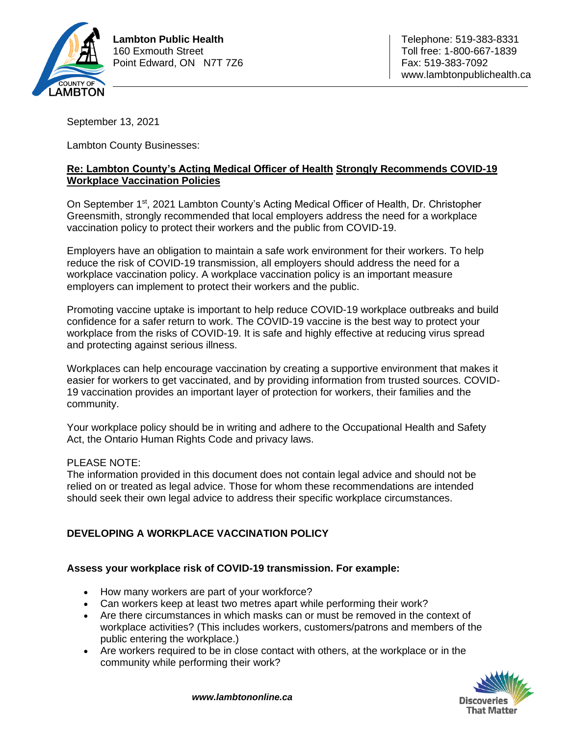

September 13, 2021

Lambton County Businesses:

# **Re: Lambton County's Acting Medical Officer of Health Strongly Recommends COVID-19 Workplace Vaccination Policies**

On September 1<sup>st</sup>, 2021 Lambton County's Acting Medical Officer of Health, Dr. Christopher Greensmith, strongly recommended that local employers address the need for a workplace vaccination policy to protect their workers and the public from COVID-19.

Employers have an obligation to maintain a safe work environment for their workers. To help reduce the risk of COVID-19 transmission, all employers should address the need for a workplace vaccination policy. A workplace vaccination policy is an important measure employers can implement to protect their workers and the public.

Promoting vaccine uptake is important to help reduce COVID-19 workplace outbreaks and build confidence for a safer return to work. The COVID-19 vaccine is the best way to protect your workplace from the risks of COVID-19. It is safe and highly effective at reducing virus spread and protecting against serious illness.

Workplaces can help encourage vaccination by creating a supportive environment that makes it easier for workers to get vaccinated, and by providing information from trusted sources. COVID-19 vaccination provides an important layer of protection for workers, their families and the community.

Your workplace policy should be in writing and adhere to the Occupational Health and Safety Act, the Ontario Human Rights Code and privacy laws.

# PLEASE NOTE:

The information provided in this document does not contain legal advice and should not be relied on or treated as legal advice. Those for whom these recommendations are intended should seek their own legal advice to address their specific workplace circumstances.

# **DEVELOPING A WORKPLACE VACCINATION POLICY**

# **Assess your workplace risk of COVID-19 transmission. For example:**

- How many workers are part of your workforce?
- Can workers keep at least two metres apart while performing their work?
- Are there circumstances in which masks can or must be removed in the context of workplace activities? (This includes workers, customers/patrons and members of the public entering the workplace.)
- Are workers required to be in close contact with others, at the workplace or in the community while performing their work?

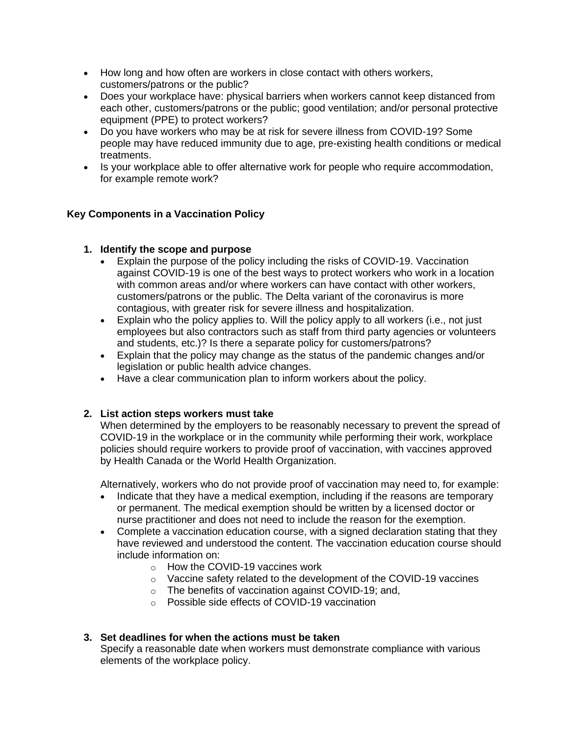- How long and how often are workers in close contact with others workers, customers/patrons or the public?
- Does your workplace have: physical barriers when workers cannot keep distanced from each other, customers/patrons or the public; good ventilation; and/or personal protective equipment (PPE) to protect workers?
- Do you have workers who may be at risk for severe illness from COVID-19? Some people may have reduced immunity due to age, pre-existing health conditions or medical treatments.
- Is your workplace able to offer alternative work for people who require accommodation, for example remote work?

# **Key Components in a Vaccination Policy**

# **1. Identify the scope and purpose**

- Explain the purpose of the policy including the risks of COVID-19. Vaccination against COVID-19 is one of the best ways to protect workers who work in a location with common areas and/or where workers can have contact with other workers, customers/patrons or the public. The Delta variant of the coronavirus is more contagious, with greater risk for severe illness and hospitalization.
- Explain who the policy applies to. Will the policy apply to all workers (i.e., not just employees but also contractors such as staff from third party agencies or volunteers and students, etc.)? Is there a separate policy for customers/patrons?
- Explain that the policy may change as the status of the pandemic changes and/or legislation or public health advice changes.
- Have a clear communication plan to inform workers about the policy.

# **2. List action steps workers must take**

When determined by the employers to be reasonably necessary to prevent the spread of COVID-19 in the workplace or in the community while performing their work, workplace policies should require workers to provide proof of vaccination, with vaccines approved by Health Canada or the World Health Organization.

Alternatively, workers who do not provide proof of vaccination may need to, for example:

- Indicate that they have a medical exemption, including if the reasons are temporary or permanent. The medical exemption should be written by a licensed doctor or nurse practitioner and does not need to include the reason for the exemption.
- Complete a vaccination education course, with a signed declaration stating that they have reviewed and understood the content. The vaccination education course should include information on:
	- o How the COVID-19 vaccines work
	- o Vaccine safety related to the development of the COVID-19 vaccines
	- o The benefits of vaccination against COVID-19; and,
	- o Possible side effects of COVID-19 vaccination

#### **3. Set deadlines for when the actions must be taken**

Specify a reasonable date when workers must demonstrate compliance with various elements of the workplace policy.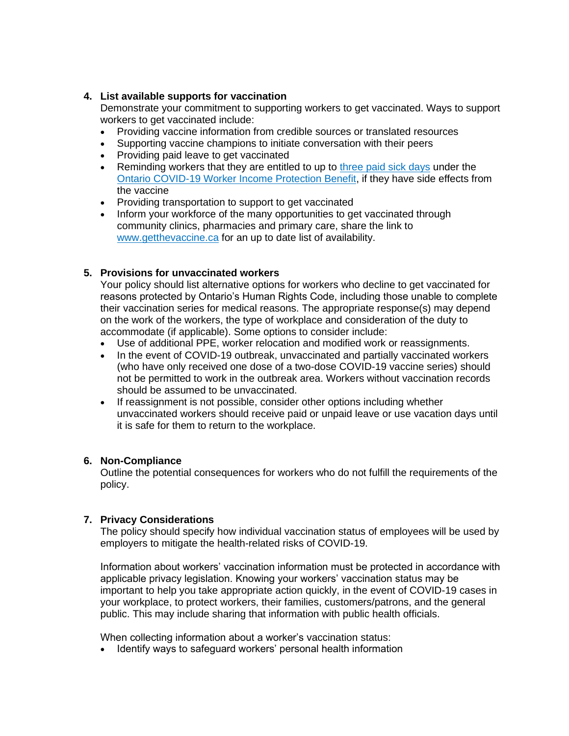#### **4. List available supports for vaccination**

Demonstrate your commitment to supporting workers to get vaccinated. Ways to support workers to get vaccinated include:

- Providing vaccine information from credible sources or translated resources
- Supporting vaccine champions to initiate conversation with their peers
- Providing paid leave to get vaccinated
- Reminding workers that they are entitled to up to [three paid sick days](https://files.ontario.ca/mltsd-covid19-employees-have-paid-sick-days-english-2021-05-14.pdf) under the [Ontario COVID-19 Worker Income Protection Benefit,](https://www.ontario.ca/page/covid-19-worker-income-protection-benefit) if they have side effects from the vaccine
- Providing transportation to support to get vaccinated
- Inform your workforce of the many opportunities to get vaccinated through community clinics, pharmacies and primary care, share the link to [www.getthevaccine.ca](http://www.getthevaccine.ca/) for an up to date list of availability.

### **5. Provisions for unvaccinated workers**

Your policy should list alternative options for workers who decline to get vaccinated for reasons protected by Ontario's Human Rights Code, including those unable to complete their vaccination series for medical reasons. The appropriate response(s) may depend on the work of the workers, the type of workplace and consideration of the duty to accommodate (if applicable). Some options to consider include:

- Use of additional PPE, worker relocation and modified work or reassignments.
- In the event of COVID-19 outbreak, unvaccinated and partially vaccinated workers (who have only received one dose of a two-dose COVID-19 vaccine series) should not be permitted to work in the outbreak area. Workers without vaccination records should be assumed to be unvaccinated.
- If reassignment is not possible, consider other options including whether unvaccinated workers should receive paid or unpaid leave or use vacation days until it is safe for them to return to the workplace.

#### **6. Non-Compliance**

Outline the potential consequences for workers who do not fulfill the requirements of the policy.

# **7. Privacy Considerations**

The policy should specify how individual vaccination status of employees will be used by employers to mitigate the health-related risks of COVID-19.

Information about workers' vaccination information must be protected in accordance with applicable privacy legislation. Knowing your workers' vaccination status may be important to help you take appropriate action quickly, in the event of COVID-19 cases in your workplace, to protect workers, their families, customers/patrons, and the general public. This may include sharing that information with public health officials.

When collecting information about a worker's vaccination status:

• Identify ways to safeguard workers' personal health information